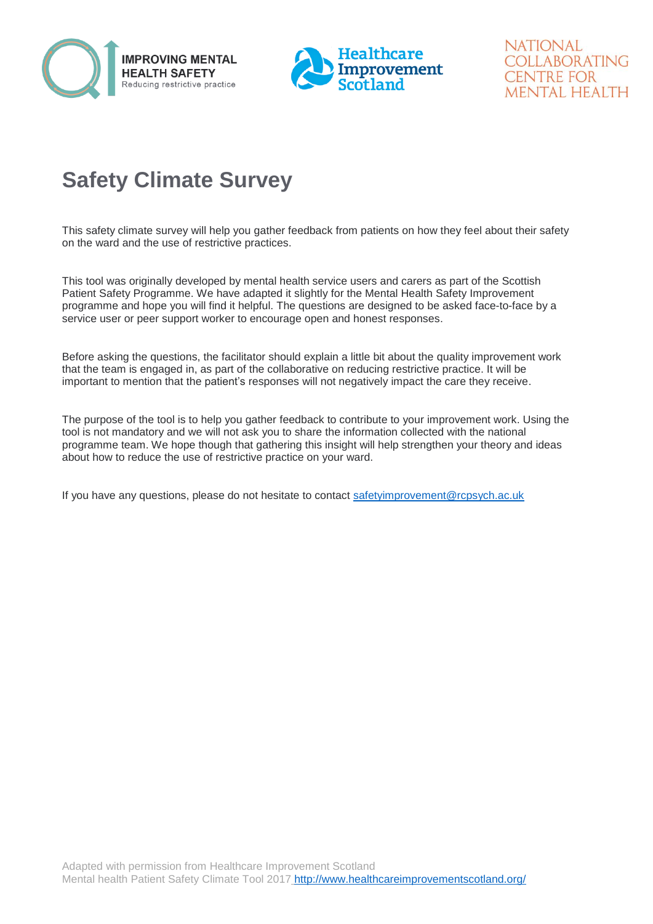



**NATIONAL** COLLABORATING **CENTRE FOR** MENTAL HEALTH

## **Safety Climate Survey**

This safety climate survey will help you gather feedback from patients on how they feel about their safety on the ward and the use of restrictive practices.

This tool was originally developed by mental health service users and carers as part of the Scottish Patient Safety Programme. We have adapted it slightly for the Mental Health Safety Improvement programme and hope you will find it helpful. The questions are designed to be asked face-to-face by a service user or peer support worker to encourage open and honest responses.

Before asking the questions, the facilitator should explain a little bit about the quality improvement work that the team is engaged in, as part of the collaborative on reducing restrictive practice. It will be important to mention that the patient's responses will not negatively impact the care they receive.

The purpose of the tool is to help you gather feedback to contribute to your improvement work. Using the tool is not mandatory and we will not ask you to share the information collected with the national programme team. We hope though that gathering this insight will help strengthen your theory and ideas about how to reduce the use of restrictive practice on your ward.

If you have any questions, please do not hesitate to contact [safetyimprovement@rcpsych.ac.uk](mailto:safetyimprovement@rcpsych.ac.uk)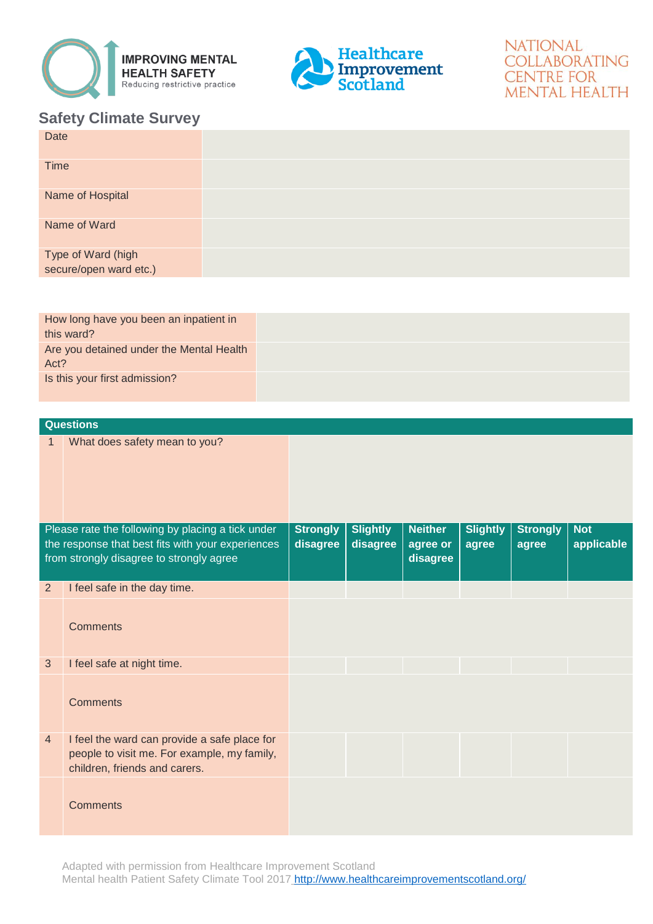



## **NATIONAL** COLLABORATING **CENTRE FOR MENTAL HEALTH**

## **Safety Climate Survey**

| Date                                         |  |
|----------------------------------------------|--|
| <b>Time</b>                                  |  |
| Name of Hospital                             |  |
| Name of Ward                                 |  |
| Type of Ward (high<br>secure/open ward etc.) |  |

| How long have you been an inpatient in   |  |
|------------------------------------------|--|
| this ward?                               |  |
|                                          |  |
| Are you detained under the Mental Health |  |
| Act?                                     |  |
| Is this your first admission?            |  |
|                                          |  |
|                                          |  |

|                                                                                                        | <b>Questions</b>                                                                                                             |                             |                             |                            |                          |                          |                          |
|--------------------------------------------------------------------------------------------------------|------------------------------------------------------------------------------------------------------------------------------|-----------------------------|-----------------------------|----------------------------|--------------------------|--------------------------|--------------------------|
| 1                                                                                                      | What does safety mean to you?                                                                                                |                             |                             |                            |                          |                          |                          |
| Please rate the following by placing a tick under<br>the response that best fits with your experiences |                                                                                                                              | <b>Strongly</b><br>disagree | <b>Slightly</b><br>disagree | <b>Neither</b><br>agree or | <b>Slightly</b><br>agree | <b>Strongly</b><br>agree | <b>Not</b><br>applicable |
|                                                                                                        | from strongly disagree to strongly agree                                                                                     |                             |                             | disagree                   |                          |                          |                          |
| $\overline{2}$                                                                                         | I feel safe in the day time.                                                                                                 |                             |                             |                            |                          |                          |                          |
|                                                                                                        | <b>Comments</b>                                                                                                              |                             |                             |                            |                          |                          |                          |
| $\mathfrak{S}$                                                                                         | I feel safe at night time.                                                                                                   |                             |                             |                            |                          |                          |                          |
|                                                                                                        | <b>Comments</b>                                                                                                              |                             |                             |                            |                          |                          |                          |
| 4                                                                                                      | I feel the ward can provide a safe place for<br>people to visit me. For example, my family,<br>children, friends and carers. |                             |                             |                            |                          |                          |                          |
|                                                                                                        | <b>Comments</b>                                                                                                              |                             |                             |                            |                          |                          |                          |

Adapted with permission from Healthcare Improvement Scotland Mental health Patient Safety Climate Tool 2017 http://www.healthcareimprovementscotland.org/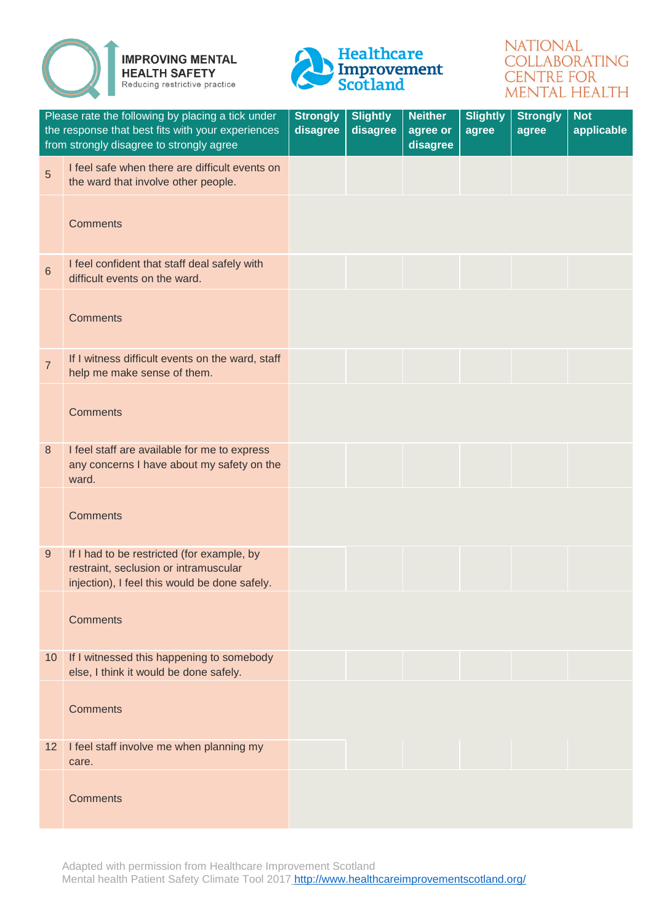



## **NATIONAL** COLLABORATING **CENTRE FOR MENTAL HEALTH**

| Please rate the following by placing a tick under<br>the response that best fits with your experiences<br>from strongly disagree to strongly agree |                                                                                                                                      | <b>Strongly</b><br>disagree | <b>Slightly</b><br>disagree | <b>Neither</b><br>agree or<br>disagree | <b>Slightly</b><br>agree | <b>Strongly</b><br>agree | <b>Not</b><br>applicable |
|----------------------------------------------------------------------------------------------------------------------------------------------------|--------------------------------------------------------------------------------------------------------------------------------------|-----------------------------|-----------------------------|----------------------------------------|--------------------------|--------------------------|--------------------------|
| 5                                                                                                                                                  | I feel safe when there are difficult events on<br>the ward that involve other people.                                                |                             |                             |                                        |                          |                          |                          |
|                                                                                                                                                    | <b>Comments</b>                                                                                                                      |                             |                             |                                        |                          |                          |                          |
| $6\phantom{1}$                                                                                                                                     | I feel confident that staff deal safely with<br>difficult events on the ward.                                                        |                             |                             |                                        |                          |                          |                          |
|                                                                                                                                                    | <b>Comments</b>                                                                                                                      |                             |                             |                                        |                          |                          |                          |
| $\overline{7}$                                                                                                                                     | If I witness difficult events on the ward, staff<br>help me make sense of them.                                                      |                             |                             |                                        |                          |                          |                          |
|                                                                                                                                                    | <b>Comments</b>                                                                                                                      |                             |                             |                                        |                          |                          |                          |
| 8                                                                                                                                                  | I feel staff are available for me to express<br>any concerns I have about my safety on the<br>ward.                                  |                             |                             |                                        |                          |                          |                          |
|                                                                                                                                                    | <b>Comments</b>                                                                                                                      |                             |                             |                                        |                          |                          |                          |
| 9                                                                                                                                                  | If I had to be restricted (for example, by<br>restraint, seclusion or intramuscular<br>injection), I feel this would be done safely. |                             |                             |                                        |                          |                          |                          |
|                                                                                                                                                    | <b>Comments</b>                                                                                                                      |                             |                             |                                        |                          |                          |                          |
| 10 <sup>°</sup>                                                                                                                                    | If I witnessed this happening to somebody<br>else, I think it would be done safely.                                                  |                             |                             |                                        |                          |                          |                          |
|                                                                                                                                                    | <b>Comments</b>                                                                                                                      |                             |                             |                                        |                          |                          |                          |
| 12 <sup>2</sup>                                                                                                                                    | I feel staff involve me when planning my<br>care.                                                                                    |                             |                             |                                        |                          |                          |                          |
|                                                                                                                                                    | <b>Comments</b>                                                                                                                      |                             |                             |                                        |                          |                          |                          |